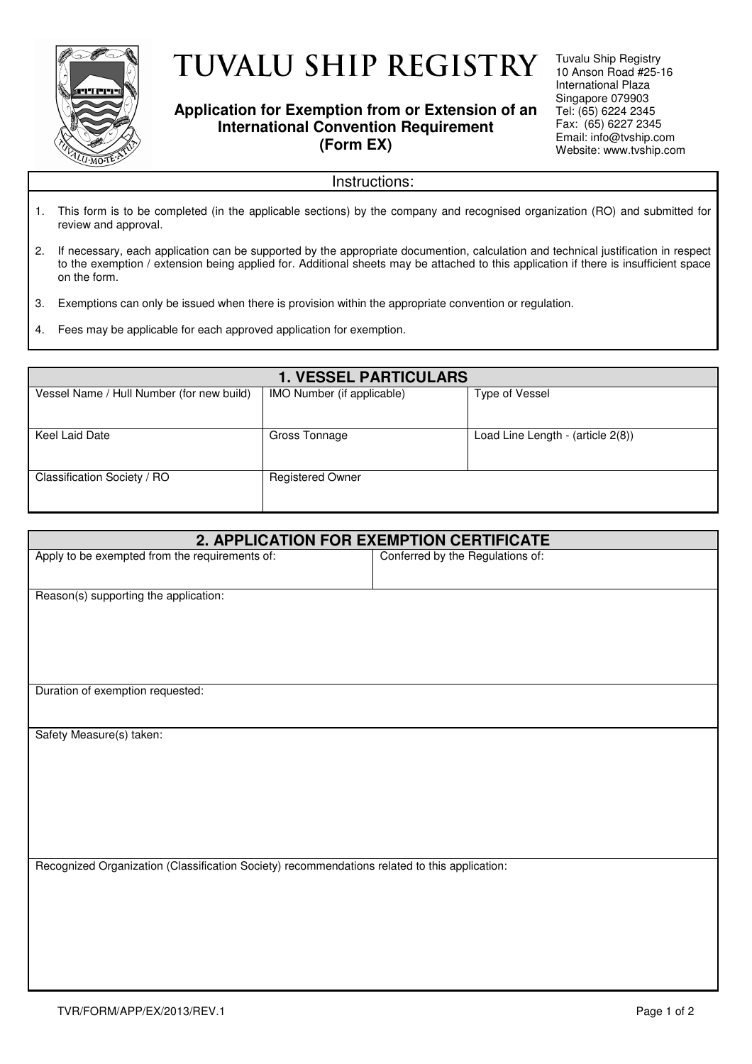

# **TUVALU SHIP REGISTRY**

### **Application for Exemption from or Extension of an International Convention Requirement (Form EX)**

Tuvalu Ship Registry 10 Anson Road #25-16 International Plaza Singapore 079903 Tel: (65) 6224 2345 Fax: (65) 6227 2345 Email: info@tvship.com Website: www.tvship.com

#### Instructions:

- 1. This form is to be completed (in the applicable sections) by the company and recognised organization (RO) and submitted for review and approval.
- 2. If necessary, each application can be supported by the appropriate documention, calculation and technical justification in respect to the exemption / extension being applied for. Additional sheets may be attached to this application if there is insufficient space on the form.
- 3. Exemptions can only be issued when there is provision within the appropriate convention or regulation.
- 4. Fees may be applicable for each approved application for exemption.

| <b>1. VESSEL PARTICULARS</b>              |                            |                                   |
|-------------------------------------------|----------------------------|-----------------------------------|
| Vessel Name / Hull Number (for new build) | IMO Number (if applicable) | Type of Vessel                    |
|                                           |                            |                                   |
| Keel Laid Date                            | Gross Tonnage              | Load Line Length - (article 2(8)) |
| Classification Society / RO               | <b>Registered Owner</b>    |                                   |

| 2. APPLICATION FOR EXEMPTION CERTIFICATE                                                      |                                  |  |
|-----------------------------------------------------------------------------------------------|----------------------------------|--|
| Apply to be exempted from the requirements of:                                                | Conferred by the Regulations of: |  |
|                                                                                               |                                  |  |
| Reason(s) supporting the application:                                                         |                                  |  |
|                                                                                               |                                  |  |
|                                                                                               |                                  |  |
|                                                                                               |                                  |  |
|                                                                                               |                                  |  |
| Duration of exemption requested:                                                              |                                  |  |
|                                                                                               |                                  |  |
| Safety Measure(s) taken:                                                                      |                                  |  |
|                                                                                               |                                  |  |
|                                                                                               |                                  |  |
|                                                                                               |                                  |  |
|                                                                                               |                                  |  |
|                                                                                               |                                  |  |
|                                                                                               |                                  |  |
| Recognized Organization (Classification Society) recommendations related to this application: |                                  |  |
|                                                                                               |                                  |  |
|                                                                                               |                                  |  |
|                                                                                               |                                  |  |
|                                                                                               |                                  |  |
|                                                                                               |                                  |  |